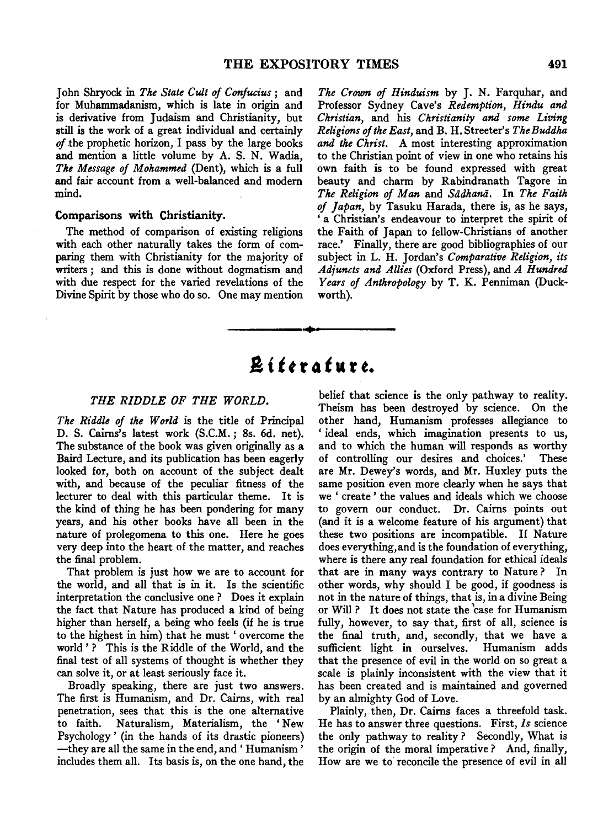John Shryock in *The State Cult of Confucius;* and for Muhammadanism, which is late in origin and is derivative from Judaism and Christianity, but still is the work of a great individual and certainly *of* the prophetic horizon, I pass by the large books and mention a little volume by A. S. N. Wadia, *The Message of Mohammed* (Dent), which is a full and fair account from a well-balanced and modem mind.

### Comparisons with Christianity.

The method of comparison of existing religions with each other naturally takes the form of comparing them with Christianity for the majority of writers ; and this is done without dogmatism and with due respect for the varied revelations of the Divine Spirit by those who do so. One may mention

*The Crown of Hinduism* by J. N. Farquhar, and Professor Sydney Cave's *Redemption, Hindu and Christian,* and his *Christianity and some Living Religions of the East,* and B. H. Streeter's *The Buddha and the Christ.* A most interesting approximation to the Christian point of view in one who retains his own faith is to be found expressed with great beauty and charm by Rabindranath Tagore in *The Religion of Man* and *Stidhana.* In *The Faith of Japan,* by Tasuku Harada, there is, as he says, 'a Christian's endeavour to interpret the spirit of the Faith of Japan to fellow-Christians of another race.' Finally, there are good bibliographies of our subject in L. H. Jordan's *Comparative Religion, its Adjuncts and Allies* (Oxford Press), and *A Hundred Years of Anthropology* by T. K. Penniman (Duckworth).

# $B$ *iferature.*

#### *THE RIDDLE OF THE WORLD.*

*The Riddle of the World* is the title of Principal D. S. Cairns's latest work (S.C.M.; Ss. 6d. net). The substance of the book was given originally as a Baird Lecture, and its publication has been eagerly looked for, both on account of the subject dealt with, and because of the peculiar fitness of the lecturer to deal with this particular theme. It is the kind of thing he has been pondering for many years, and his other books have all been in the nature of prolegomena to this one. Here he goes very deep into the heart of the matter, and reaches the final problem.

That problem is just how we are to account for the world, and all that is in it. Is the scientific interpretation the conclusive one ? Does it explain the fact that Nature has produced a kind of being higher than herself, a being who feels (if he is true to the highest in him) that he must ' overcome the world'? This is the Riddle of the World, and the final test of all systems of thought is whether they can solve it, or at least seriously face it.

Broadly speaking, there are just two answers. The first is Humanism, and Dr. Cairns, with real penetration, sees that this is the one alternative to faith. Naturalism, Materialism, the 'New Psychology' (in the hands of its drastic pioneers) -they are all the same in the end, and 'Humanism' includes them all. Its basis is, on the one hand, the

belief that science is the only pathway to reality. Theism has been destroyed by science. On the other hand, Humanism professes allegiance to 'ideal ends, which imagination presents to us, and to which the human will responds as worthy<br>of controlling our desires and choices.' These of controlling our desires and choices.' are Mr. Dewey's words, and Mr. Huxley puts the same position even more clearly when he says that we ' create ' the values and ideals which we choose to govern our conduct. Dr. Cairns points out (and it is a welcome feature of his argument) that these two positions are incompatible. If Nature does everything, and is the foundation of everything, where is there any real foundation for ethical ideals that are in many ways contrary to Nature ? In other words, why should I be good, if goodness is not in the nature of things, that is, in a divine Being or Will ? It does not state the 'case for Humanism fully, however, to say that, first of all, science is the final truth, and, secondly, that we have a sufficient light in ourselves. Humanism adds that the presence of evil in the world on so great a scale is plainly inconsistent with the view that it has been created and is maintained and governed by an almighty God of Love.

Plainly, then, Dr. Cairns faces a threefold task. He has to answer three questions. First, *Is* science the only pathway to reality? Secondly, What is the origin of the moral imperative? And, finally, How are we to reconcile the presence of evil in all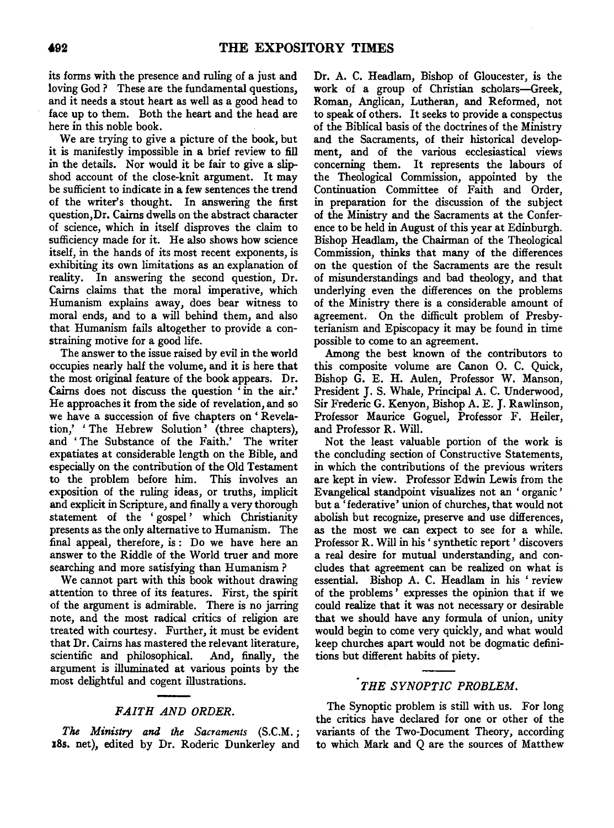its forms with the presence and ruling of a just and loving God ? These are the fundamental questions, and it needs a stout heart as well as a good head to face up to them. Both the heart and the head are here in this noble book.

We are trying to give a picture of the book, but it is manifestly impossible in a brief review to fill in the details. Nor would it be fair to give a slipshod account of the close-knit argument. It may be sufficient to indicate in a few sentences the trend of the writer's thought. In answering the first question,Dr. Cairns dwells on the abstract character of science, which in itself disproves the claim to sufficiency made for it. He also shows how science itself, in the hands of its most recent exponents, is exhibiting its own limitations as an explanation of reality. In answering the second question, Dr. Cairns claims that the moral imperative, which Humanism explains away, does bear witness to moral ends, and to a will behind them, and also that Humanism fails altogether to provide a constraining motive for a good life.

The answer to the issue raised by evil in the world occupies nearly half the volume, and it is here that the most original feature of the book appears. Dr. Cairns does not discuss the question 'in the air.' He approaches it from the side of revelation, and so we have a succession of five chapters on ' Revelation,' 'The Hebrew Solution' (three chapters), and ' The Substance of the Faith.' The writer expatiates at considerable length on the Bible, and especially on the contribution of the Old Testament to the problem before him. This involves an exposition of the ruling ideas, or truths, implicit and explicit in Scripture, and finally a very thorough statement of the ' gospel ' which Christianity presents as the only alternative to Humanism. The final appeal, therefore, is: Do we have here an answer to the Riddle of the World truer and more searching and more satisfying than Humanism?

We cannot part with this book without drawing attention to three of its features. First, the spirit of the argument is admirable. There is no jarring note, and the most radical critics of religion are treated with courtesy. Further, it must be evident that Dr. Cairns has mastered the relevant literature, scientific and philosophical. And, finally, the argument is illuminated at various points by the most delightful and cogent illustrations.

## *FAITH AND ORDER.*

*The Ministry and the Sacraments* (S.C.M. ; 18s. net), edited by Dr. Roderic Dunkerley and Dr. A. C. Headlam, Bishop of Gloucester, is the work of a group of Christian scholars-Greek, Roman, Anglican, Lutheran, and Reformed, not to speak of others. It seeks to provide a conspectus of the Biblical basis of the doctrines of the Ministry and the Sacraments, of their historical development, and of the various ecclesiastical views concerning them. It represents the labours of the Theological Commission, appointed by the Continuation Committee of Faith and Order, in preparation for the discussion of the subject of the Ministry and the Sacraments at the Conference to be held in August of this year at Edinburgh. Bishop Headlam, the Chairman of the Theological Commission, thinks that many of the differences on the question of the Sacraments are the result of misunderstandings and bad theology, and that underlying even the differences on the problems of the Ministry there is a considerable amount of agreement. On the difficult problem of Presbyterianism and Episcopacy it may be found in time possible to come to an agreement.

Among the best known of the contributors to this composite volume are Canon 0. C. Quick, Bishop G. E. H. Aulen, Professor W. Manson, President J. S. Whale, Principal A. C. Underwood, Sir Frederic G. Kenyon, Bishop A. E. J. Rawlinson, Professor Maurice Goguel, Professor F. Heiler, and Professor R. Will.

Not the least valuable portion of the work is the concluding section of Constructive Statements, in which the contributions of the previous writers are kept in view. Professor Edwin Lewis from the Evangelical standpoint visualizes not an ' organic ' but a 'federative' union of churches, that would not abolish but recognize, preserve and use differences, as the most we can expect to see for a while. Professor R. Will in his' synthetic report' discovers a real desire for mutual understanding, and concludes that agreement can be realized on what is essential. Bishop A. C. Headlam in his ' review of the problems ' expresses the opinion that if we could realize that it was not necessary or desirable that we should have any formula of union, unity would begin to come very quickly, and what would keep churches apart would not be dogmatic definitions but different habits of piety.

## *THE SYNOPTIC PROBLEM.*

The Synoptic problem is still with us. For long the critics have declared for one or other of the variants of the Two-Document Theory, according to which Mark and Q are the sources of Matthew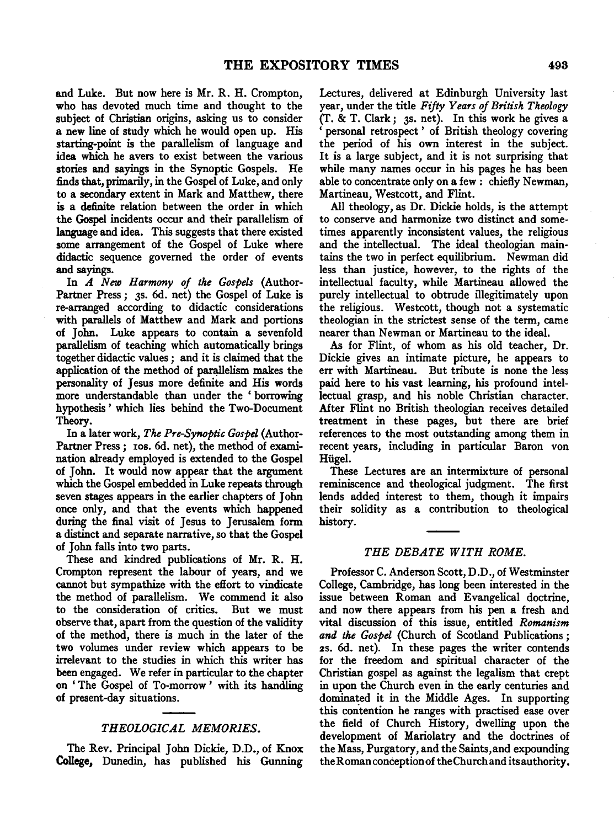and Luke. But now here is Mr. R. H. Crompton, who has devoted much time and thought to the subject of Christian origins, asking us to consider a new line of study which he would open up. His starting-point is the parallelism of language and idea which he avers to exist between the various stories and sayings in the Synoptic Gospels. He finds that, primarily, in the Gospel of Luke, and only to a secondary extent in Mark and Matthew, there is a definite relation between the order in which the Gospel incidents occur and their parallelism of language and idea. This suggests that there existed some arrangement of the Gospel of Luke where didactic sequence governed the order of events and sayings.

In *A New Harmony of the Gospels* (Author-Partner Press ; 3s. 6d. net) the Gospel of Luke is re-arranged according to didactic considerations with parallels of Matthew and Mark and portions of John. Luke appears to contain a sevenfold parallelism of teaching which automatically brings together didactic values ; and it is claimed that the application of the method of parallelism makes the personality of Jesus more definite and His words more understandable than under the ' borrowing hypothesis' which lies behind the Two-Document Theory.

In a later work, *The Pre-Synoptic Gospel* (Author-Partner Press; ros. 6d. net), the method of examination already employed is extended to the Gospel of John. It would now appear that the argument which the Gospel embedded in Luke repeats through seven stages appears in the earlier chapters of John once only, and that the events which happened during the final visit of Jesus to Jerusalem form a distinct and separate narrative, so that the Gospel of John falls into two parts.

These and kindred publications of Mr. R. H. Crompton represent the labour of years, and we cannot but sympathize with the effort to vindicate the method of parallelism. We commend it also to the consideration of critics. But we must observe that, apart from the question of the validity of the method, there is much in the later of the two volumes under review which appears to be irrelevant to the studies in which this writer has been engaged. We refer in particular to the chapter on ' The Gospel of To-morrow ' with its handling of present-day situations.

## *THEOLOGICAL MEMORIES.*

The Rev. Principal John Dickie, D.D., of Knox College, Dunedin, has published his Gunning Lectures, delivered at Edinburgh University last year, under the title *Fifty Years of British Theology*  (T. & T. Clark; 3s. net). In this work he gives a ' personal retrospect ' of British theology covering the period of his own interest in the subject. It is a large subject, and it is not surprising that while many names occur in his pages he has been able to concentrate only on a few: chiefly Newman, Martineau, Westcott, and Flint.

All theology, as Dr. Dickie holds, is the attempt to conserve and harmonize two distinct and sometimes apparently inconsistent values, the religious and the intellectual. The ideal theologian maintains the two in perfect equilibrium. Newman did less than justice, however, to the rights of the intellectual faculty, while Martineau allowed the purely intellectual to obtrude illegitimately upon the religious. Westcott, though not a systematic theologian in the strictest sense of the term, came nearer than Newman or Martineau to the ideal.

As for Flint, of whom as his old teacher, Dr. Dickie gives an intimate picture, he appears to err with Martineau. But tribute is none the less paid here to his vast learning, his profound intellectual grasp, and his noble Christian character. After Flint no British theologian receives detailed treatment in these pages, but there are brief references to the most outstanding among them in recent years, including in particular Baron von Hiigel.

These Lectures are an intermixture of personal reminiscence and theological judgment. The first lends added interest to them, though it impairs their solidity as a contribution to theological history.

#### *THE DEBATE WITH ROME.*

Professor C. Anderson Scott, D.D., of Westminster College, Cambridge, has long been interested in the issue between Roman and Evangelical doctrine, and now there appears from his pen a fresh and vital discussion of this issue, entitled *Romanism and the Gospel* (Church of Scotland Publications ; 2s. 6d. net). In these pages the writer contends for the freedom and spiritual character of the Christian gospel as against the legalism that crept in upon the Church even in the early centuries and dominated it in the Middle Ages. In supporting this contention he ranges with practised ease over the field of Church History, dwelling upon the development of Mariolatry and the doctrines of the Mass, Purgatory, and the Saints, and expounding the Roman conception of the Church and its authority.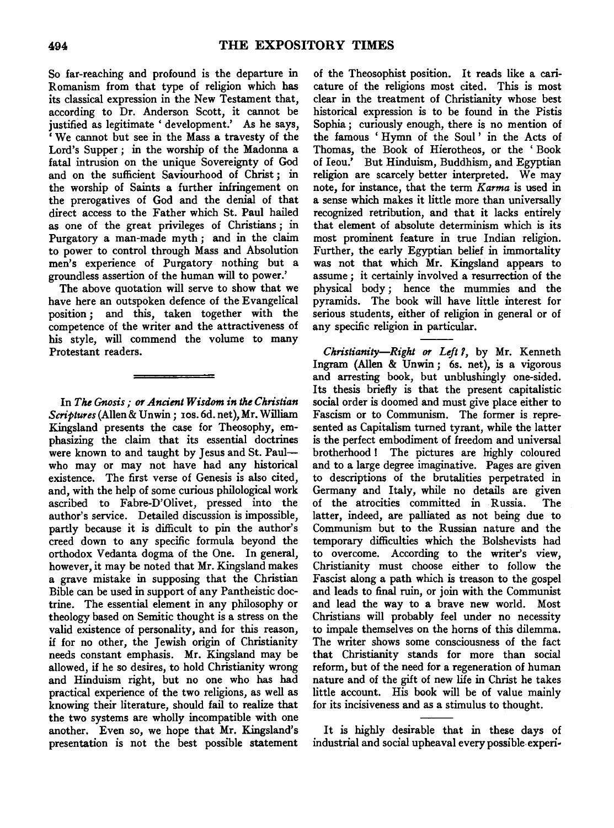So far-reaching and profound is the departure in Romanism from that type of religion which has its classical expression in the New Testament that, according to Dr. Anderson Scott, it cannot be justified as legitimate ' development.' As he says, 'We cannot but see in the Mass a travesty of the Lord's Supper; in the worship of the Madonna a fatal intrusion on the unique Sovereignty of God and on the sufficient Saviourhood of Christ ; in the worship of Saints a further infringement on the prerogatives of God and the denial of that direct access to the Father which St. Paul hailed as one of the great privileges of Christians ; in Purgatory a man-made myth ; and in the claim to power to control through Mass and Absolution men's experience of Purgatory nothing but a groundless assertion of the human will to power.'

The above quotation will serve to show that we have here an outspoken defence of the Evangelical position ; and this, taken together with the competence of the writer and the attractiveness of his style, will commend the volume to many Protestant readers.

In *The Gnosis; or Ancient Wisdom in the Christian Scriptures* (Alien & Unwin; I os. 6d. net), Mr. William Kingsland presents the case for Theosophy, emphasizing the claim that its essential doctrines were known to and taught by Jesus and St. Paulwho may or may not have had any historical existence. The first verse of Genesis is also cited, and, with the help of some curious philological work ascribed to Fabre-D'Olivet, pressed into the author's service. Detailed discussion is impossible, partly because it is difficult to pin the author's creed down to any specific formula beyond the orthodox Vedanta dogma of the One. In general, however, it may be noted that Mr. Kingsland makes a grave mistake in supposing that the Christian Bible can be used in support of any Pantheistic doctrine. The essential element in any philosophy or theology based on Semitic thought is a stress on the valid existence of personality, and for this reason, if for no other, the Jewish origin of Christianity needs constant emphasis. Mr. Kingsland may be allowed, if he so desires, to hold Christianity wrong and Hinduism right, but no one who has had practical experience of the two religions, as well as knowing their literature, should fail to realize that the two systems are wholly incompatible with one another. Even so, we hope that Mr. Kingsland's presentation is not the best possible statement of the Theosophist position. It reads like a caricature of the religions most cited. This is most clear in the treatment of Christianity whose best historical expression is to be found in the Pistis Sophia ; curiously enough, there is no mention of the famous 'Hymn of the Soul' in the Acts of Thomas, the Book of Hierotheos, or the ' Book of Ieou.' But Hinduism, Buddhism, and Egyptian religion are scarcely better interpreted. We may note, for instance, that the term *Karma* is used in a sense which makes it little more than universally recognized retribution, and that it lacks entirely that element of absolute determinism which is its most prominent feature in true Indian religion. Further, the early Egyptian belief in immortality was not that which Mr. Kingsland appears to assume; it certainly involved a resurrection of the physical body ; hence the mummies and the pyramids. The book will have little interest for serious students, either of religion in general or of any specific religion in particular.

*Christianity-Right tw Left 1,* by Mr. Kenneth Ingram (Alien & Unwin ; 6s. net), is a vigorous and arresting book, but unblushingly one-sided. Its thesis briefly is that the present capitalistic social order is doomed and must give place either to Fascism or to Communism. The former is represented as Capitalism turned tyrant, while the latter is the perfect embodiment of freedom and universal brotherhood ! The pictures are highly coloured and to a large degree imaginative. Pages are given to descriptions of the brutalities perpetrated in Germany and Italy, while no details are given of the atrocities committed in Russia. The latter, indeed, are palliated as not being due to Communism but to the Russian nature and the temporary difficulties which the Bolshevists had to overcome. According to the writer's view, Christianity must choose either to follow the Fascist along a path which is treason to the gospel and leads to final ruin, or join with the Communist and lead the way to a brave new world. Most Christians will probably feel under no necessity to impale themselves on the horns of this dilemma. The writer shows some consciousness of the fact that Christianity stands for more than social reform, but of the need for a regeneration of human nature and of the gift of new life in Christ he takes little account. His book will be of value mainly for its incisiveness and as a stimulus to thought.

It is highly desirable that in these days of industrial and social upheaval every possible experi·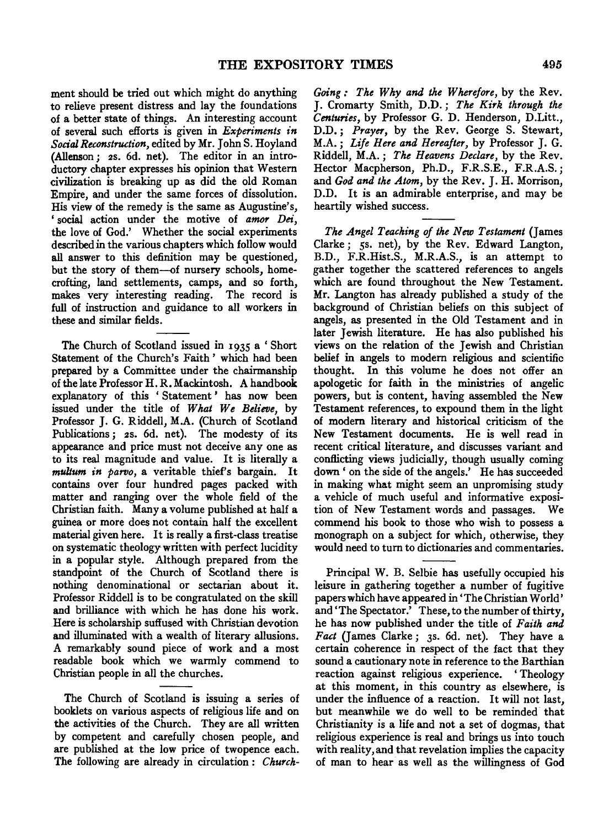ment should be tried out which might do anything to relieve present distress and lay the foundations of a better state of things. An interesting account of several such efforts is given in *Experiments in Social Reconstruction,* edited by Mr. John S. Hoyland (Allenson; 2s. 6d. net). The editor in an introductory chapter expresses his opinion that Western civilization is breaking up as did the old Roman Empire, and under the same forces of dissolution. His view of the remedy is the same as Augustine's, ' social action under the motive of *amor Dei,*  the love of God.' Whether the social experiments described in the various chapters which follow would all answer to this definition may be questioned, but the story of them-of nursery schools, homecrofting, land settlements, camps, and so forth, makes very interesting reading. The record is full of instruction and guidance to all workers in these and similar fields.

The Church of Scotland issued in 1935 a 'Short Statement of the Church's Faith ' which had been prepared by a Committee under the chairmanship of the late Professor H. R. Mackintosh. A handbook explanatory of this ' Statement ' has now been issued under the title of *What We Believe,* by Professor J. G. Riddell, M.A. (Church of Scotland Publications; 2s. 6d. net). The modesty of its appearance and price must not deceive any one as to its real magnitude and value. It is literally a *multum in parvo,* a veritable thief's bargain. It contains over four hundred pages packed with matter and ranging over the whole field of the Christian faith. Many a volume published at half a guinea or more does not contain half the excellent material given here. It is really a first-class treatise on systematic theology written with perfect lucidity in a popular style. Although prepared from the standpoint of the Church of Scotland there is nothing denominational or sectarian about it. Professor Riddell is to be congratulated on the skill and brilliance with which he has done his work. Here is scholarship suffused with Christian devotion and illuminated with a wealth of literary allusions. A remarkably sound piece of work and a most readable book which we warmly commend to Christian people in all the churches.

The Church of Scotland is issuing a series of booklets on various aspects of religious life and on the activities of the Church. They are all written by competent and carefully chosen people, and are published at the low price of twopence each. The following are already in circulation : *Church-* *Going: The Why and the Wherefore,* by the Rev. J. Cromarty Smith, D.D.; *The Kirk through the Centuries,* by Professor G. D. Henderson, D.Litt., D.D.; *Prayer,* by the Rev. George S. Stewart, M.A.; *Life Here and Hereafter,* by Professor J. G. Riddell, M.A.; *The Heavens Declare,* by the Rev. Hector Macpherson, Ph.D., F.R.S.E., F.R.A.S.; and *God and the Atom,* by the Rev. J. H. Morrison, D.D. It is an admirable enterprise, and may be heartily wished success.

*The Angel Teaching of the New Testament* (James Clarke; ss. net), by the Rev. Edward Langton, B.D., F.R.Hist.S., M.R.A.S., is an attempt to gather together the scattered references to angels which are found throughout the New Testament. Mr. Langton has already published a study of the background of Christian beliefs on this subject of angels, as presented in the Old Testament and in later Jewish literature. He has also published his views on the relation of the Jewish and Christian belief in angels to modem religious and scientific thought. In this volume he does not offer an apologetic for faith in the ministries of angelic powers, but is content, having assembled the New Testament references, to expound them in the light of modem literary and historical criticism of the New Testament documents. He is well read in recent critical literature, and discusses variant and conflicting views judicially, though usually coming down ' on the side of the angels.' He has succeeded in making what might seem an unpromising study a vehicle of much useful and informative exposition of New Testament words and passages. We commend his book to those who wish to possess a monograph on a subject for which, otherwise, they would need to turn to dictionaries and commentaries.

Principal W. B. Selbie has usefully occupied his leisure in gathering together a number of fugitive papers which have appeated in' The Christian World' and 'The Spectator.' These, to the number of thirty, he has now published under the title of *Faith and Fact* (James Clarke; 3s. 6d. net). They have a certain coherence in respect of the fact that they sound a cautionary note in reference to the Barthian reaction against religious experience. ' Theology at this moment, in this country as elsewhere, is under the influence of a reaction. It will not last, but meanwhile we do well to be reminded that Christianity is a life and not a set of dogmas, that religious experience is real and brings us into touch with reality,and that revelation implies the capacity of man to hear as well as the willingness of God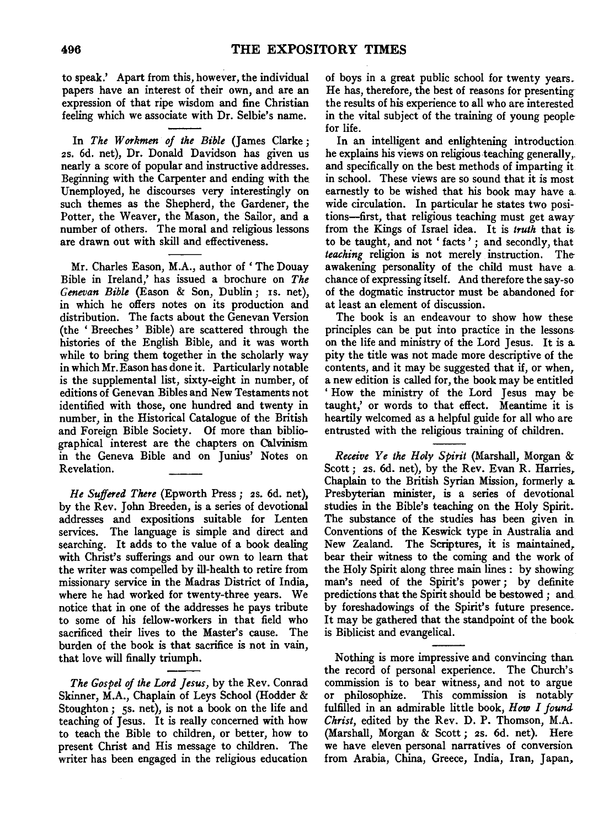to speak.' Apart from this, however, the individual papers have an interest of their own, and are an expression of that ripe wisdom and fine Christian feeling which we associate with Dr. Selbie's name.

In *The Workmen of the Bible* (James Clarke; 2s. 6d. net), Dr. Donald Davidson has given us nearly a score of popular and instructive addresses. Beginning with the Carpenter and ending with the Unemployed, he discourses very interestingly on such themes as the Shepherd, the Gardener, the Potter, the Weaver, the Mason, the Sailor, and a number of others. The moral and religious lessons are drawn out with skill and effectiveness.

Mr. Charles Eason, M.A., author of 'The Douay Bible in Ireland,' has issued a brochure on *The Genevan Bible* (Eason & Son, Dublin; IS. net), in which he offers notes on its production and distribution. The facts about the Genevan Version (the 'Breeches' Bible) are scattered through the histories of the English Bible, and it was worth while to bring them together in the scholarly way in which Mr. Eason has done it. Particularly notable is the supplemental list, sixty-eight in number, of editions of Genevan Bibles and New Testaments not identified with those, one hundred and twenty in number, in the Historical Catalogue of the British and Foreign Bible Society. Of more than bibliographical interest are the chapters on Calvinism in the Geneva Bible and on Junius' Notes on Revelation.

*He Suffered There* (Epworth Press ; 2s. 6d. net), by the Rev. John Breeden, is a series of devotional addresses and expositions suitable for Lenten services. The language is simple and direct and searching. It adds to the value of a book dealing with Christ's sufferings and our own to learn that the writer was compelled by ill-health to retire from missionary service in the Madras District of India, where he had worked for twenty-three years. We notice that in one of the addresses he pays tribute to some of his fellow-workers in that field who sacrificed their lives to the Master's cause. The burden of the book is that sacrifice is not in vain, that love will finally triumph.

*The Gospel of the Lord Jesus,* by the Rev. Conrad Skinner, M.A., Chaplain of Leys School (Hodder & Stoughton; 5s. net), is not a book on the life and teaching of Jesus. It is really concerned with how to teach the Bible to children, or better, how to present Christ and His message to children. The writer has been engaged in the religious education

of boys in a great public school for twenty years. He has, therefore, the best of reasons for presenting the results of his experience to all who are interested in the vital subject of the training of young peoplefor life.

In an intelligent and enlightening introduction he explains his views on religious teaching generally,. and specifically on the best methods of imparting it in school. These views are so sound that it is most earnestly to be wished that his book may have a. wide circulation. In particular he states two positions-first, that religious teaching must get away from the Kings of Israel idea. It is *truth* that is· to be taught, and not 'facts'; and secondly, that *teaching* religion is not merely instruction. Theawakening personality of the child must have a chance of expressing itself. And therefore the say-so of the dogmatic instructor must be abandoned for at least an element of discussion.

The book is an endeavour to show how these principles can be put into practice in the lessons on the life and ministry of the Lord Jesus. It is a. pity the title was not made more descriptive of the contents, and it may be suggested that if, or when, a new edition is called for, the book may be entitled 'How the ministry of the Lord Jesus may be taught,' or words to that effect. Meantime it is heartily welcomed as a helpful guide for all who are entrusted with the religious training of children.

*Receive Ye the Holy Spirit* (Marshal!, Morgan & Scott; 2s. 6d. net), by the Rev. Evan R. Harries, Chaplain to the British Syrian Mission, formerly a. Presbyterian minister, is a series of devotional studies in the Bible's teaching on the Holy Spirit. The substance of the studies has been given in Conventions of the Keswick type in Australia and New Zealand. The Scriptures, it is maintained. bear their witness to the coming and the work of the Holy Spirit along three main lines : by showing man's need of the Spirit's power; by definite predictions that the Spirit should be bestowed ; and by foreshadowings of the Spirit's future presence. It may be gathered that the standpoint of the book is Biblicist and evangelical.

Nothing is more impressive and convincing than the record of personal experience. The Church's commission is to bear witness, and not to argue or philosophize. This commission is notably fulfilled in an admirable little book, *How I found Christ,* edited by the Rev. D. P. Thomson, M.A. (Marshall, Morgan & Scott; 2s. 6d. net). Here we have eleven personal narratives of conversion from Arabia, China, Greece, India, Iran, Japan,